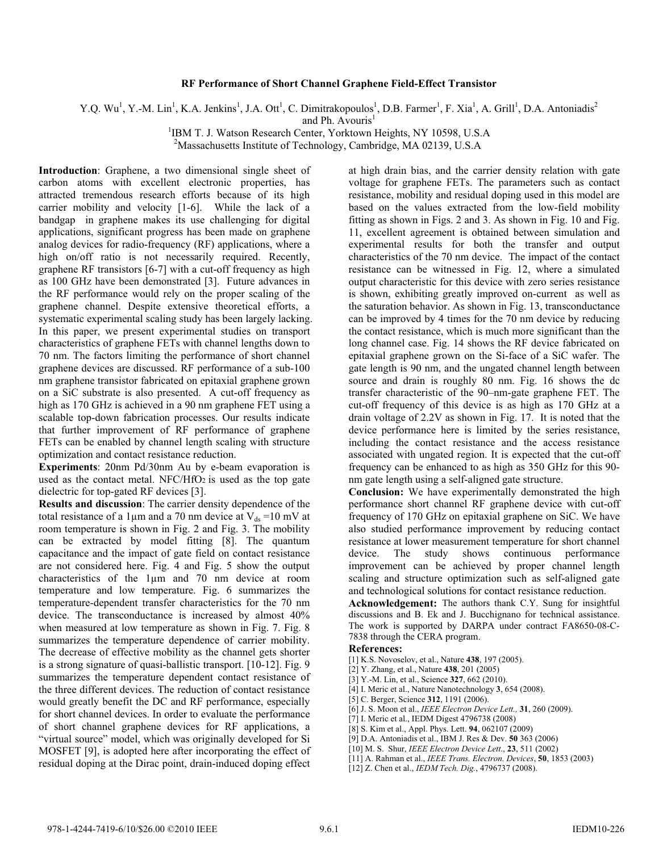## **RF Performance of Short Channel Graphene Field-Effect Transistor**

Y.Q. Wu<sup>1</sup>, Y.-M. Lin<sup>1</sup>, K.A. Jenkins<sup>1</sup>, J.A. Ott<sup>1</sup>, C. Dimitrakopoulos<sup>1</sup>, D.B. Farmer<sup>1</sup>, F. Xia<sup>1</sup>, A. Grill<sup>1</sup>, D.A. Antoniadis<sup>2</sup>

and Ph. Avouris $<sup>1</sup>$ </sup>

<sup>1</sup>IBM T. J. Watson Research Center, Yorktown Heights, NY 10598, U.S.A

<sup>2</sup>Massachusetts Institute of Technology, Cambridge, MA 02139, U.S.A

**Introduction**: Graphene, a two dimensional single sheet of carbon atoms with excellent electronic properties, has attracted tremendous research efforts because of its high carrier mobility and velocity [1-6]. While the lack of a bandgap in graphene makes its use challenging for digital applications, significant progress has been made on graphene analog devices for radio-frequency (RF) applications, where a high on/off ratio is not necessarily required. Recently, graphene RF transistors [6-7] with a cut-off frequency as high as 100 GHz have been demonstrated [3]. Future advances in the RF performance would rely on the proper scaling of the graphene channel. Despite extensive theoretical efforts, a systematic experimental scaling study has been largely lacking. In this paper, we present experimental studies on transport characteristics of graphene FETs with channel lengths down to 70 nm. The factors limiting the performance of short channel graphene devices are discussed. RF performance of a sub-100 nm graphene transistor fabricated on epitaxial graphene grown on a SiC substrate is also presented. A cut-off frequency as high as 170 GHz is achieved in a 90 nm graphene FET using a scalable top-down fabrication processes. Our results indicate that further improvement of RF performance of graphene FETs can be enabled by channel length scaling with structure optimization and contact resistance reduction.

**Experiments**: 20nm Pd/30nm Au by e-beam evaporation is used as the contact metal. NFC/HfO<sub>2</sub> is used as the top gate dielectric for top-gated RF devices [3].

**Results and discussion**: The carrier density dependence of the total resistance of a 1  $\mu$ m and a 70 nm device at V<sub>ds</sub> = 10 mV at room temperature is shown in Fig. 2 and Fig. 3. The mobility can be extracted by model fitting [8]. The quantum capacitance and the impact of gate field on contact resistance are not considered here. Fig. 4 and Fig. 5 show the output characteristics of the 1μm and 70 nm device at room temperature and low temperature. Fig. 6 summarizes the temperature-dependent transfer characteristics for the 70 nm device. The transconductance is increased by almost 40% when measured at low temperature as shown in Fig. 7. Fig. 8 summarizes the temperature dependence of carrier mobility. The decrease of effective mobility as the channel gets shorter is a strong signature of quasi-ballistic transport. [10-12]. Fig. 9 summarizes the temperature dependent contact resistance of the three different devices. The reduction of contact resistance would greatly benefit the DC and RF performance, especially for short channel devices. In order to evaluate the performance of short channel graphene devices for RF applications, a "virtual source" model, which was originally developed for Si MOSFET [9], is adopted here after incorporating the effect of residual doping at the Dirac point, drain-induced doping effect

at high drain bias, and the carrier density relation with gate voltage for graphene FETs. The parameters such as contact resistance, mobility and residual doping used in this model are based on the values extracted from the low-field mobility fitting as shown in Figs. 2 and 3. As shown in Fig. 10 and Fig. 11, excellent agreement is obtained between simulation and experimental results for both the transfer and output characteristics of the 70 nm device. The impact of the contact resistance can be witnessed in Fig. 12, where a simulated output characteristic for this device with zero series resistance is shown, exhibiting greatly improved on-current as well as the saturation behavior. As shown in Fig. 13, transconductance can be improved by 4 times for the 70 nm device by reducing the contact resistance, which is much more significant than the long channel case. Fig. 14 shows the RF device fabricated on epitaxial graphene grown on the Si-face of a SiC wafer. The gate length is 90 nm, and the ungated channel length between source and drain is roughly 80 nm. Fig. 16 shows the dc transfer characteristic of the 90–nm-gate graphene FET. The cut-off frequency of this device is as high as 170 GHz at a drain voltage of 2.2V as shown in Fig. 17. It is noted that the device performance here is limited by the series resistance, including the contact resistance and the access resistance associated with ungated region. It is expected that the cut-off frequency can be enhanced to as high as 350 GHz for this 90 nm gate length using a self-aligned gate structure.

**Conclusion:** We have experimentally demonstrated the high performance short channel RF graphene device with cut-off frequency of 170 GHz on epitaxial graphene on SiC. We have also studied performance improvement by reducing contact resistance at lower measurement temperature for short channel device. The study shows continuous performance improvement can be achieved by proper channel length scaling and structure optimization such as self-aligned gate and technological solutions for contact resistance reduction.

**Acknowledgement:** The authors thank C.Y. Sung for insightful discussions and B. Ek and J. Bucchignano for technical assistance. The work is supported by DARPA under contract FA8650-08-C-7838 through the CERA program.

## **References:**

- [1] K.S. Novoselov, et al., Nature **438**, 197 (2005).
- [2] Y. Zhang, et al., Nature **438**, 201 (2005)
- [3] Y.-M. Lin, et al., Science **327**, 662 (2010).
- [4] I. Meric et al., Nature Nanotechnology **3**, 654 (2008).
- [5] C. Berger, Science **312**, 1191 (2006).
- [6] J. S. Moon et al., *IEEE Electron Device Lett.,* **31**, 260 (2009).
- [7] I. Meric et al., IEDM Digest 4796738 (2008)
- [8] S. Kim et al., Appl. Phys. Lett. **94**, 062107 (2009)
- [9] D.A. Antoniadis et al., IBM J. Res & Dev. **50** 363 (2006)
- [10] M. S. Shur, *IEEE Electron Device Lett*., **<sup>23</sup>**, 511 (2002)
- [11] A. Rahman et al., *IEEE Trans. Electron. Devices*, **<sup>50</sup>**, 1853 (2003)
- [12] Z. Chen et al., *IEDM Tech. Dig.*, 4796737 (2008).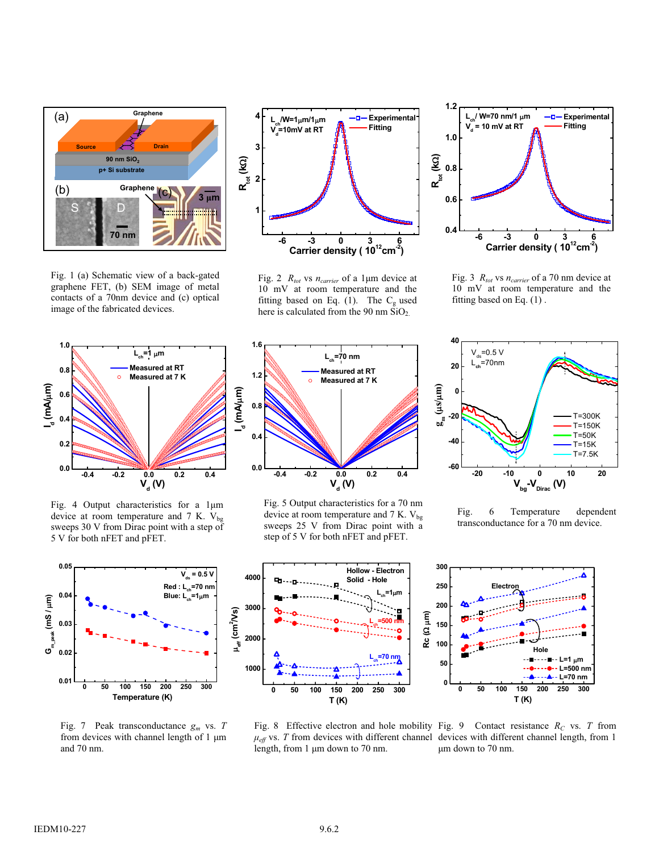

Fig. 1 (a) Schematic view of a back-gated graphene FET, (b) SEM image of metal contacts of a 70nm device and (c) optical image of the fabricated devices.



Fig. 2  $R_{tot}$  vs  $n_{carrier}$  of a 1 $\mu$ m device at 10 mV at room temperature and the fitting based on Eq. (1). The  $C_{\varphi}$  used here is calculated from the 90 nm  $SiO<sub>2</sub>$ .



Fig. 3 *Rtot* vs *ncarrier* of a 70 nm device at 10 mV at room temperature and the fitting based on Eq. (1) .



Fig. 4 Output characteristics for a 1µm device at room temperature and 7 K.  $V_{bg}$ sweeps 30 V from Dirac point with a step of 5 V for both nFET and pFET.



Fig. 7 Peak transconductance *gm* vs. *T* from devices with channel length of  $1 \mu m$ and 70 nm.



Fig. 5 Output characteristics for a 70 nm device at room temperature and 7 K.  $V_{bg}$ sweeps 25 V from Dirac point with a step of 5 V for both nFET and pFET.





Fig. 6 Temperature dependent transconductance for a 70 nm device.



length, from  $1 \mu m$  down to  $70 \text{ nm}$ .

Fig. 8 Effective electron and hole mobility Fig. 9 Contact resistance  $R_C$  vs. *T* from  $\mu_{\alpha}$  vs. *T* from devices with different channel devices with different channel length from 1  $\mu_{eff}$  vs. *T* from devices with different channel devices with different channel length, from 1<br>length, from 1 um down to 70 nm ȝm down to 70 nm.